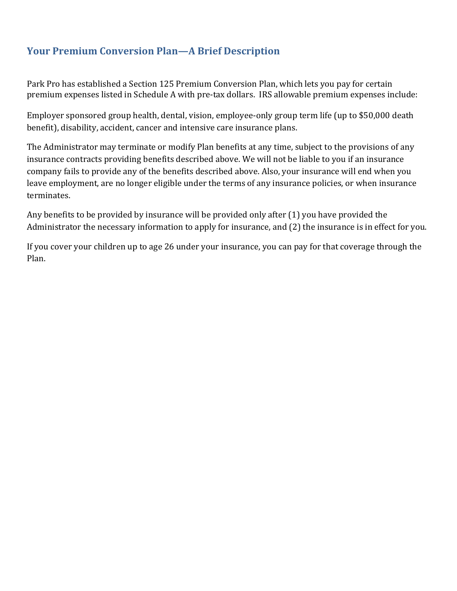### **Your Premium Conversion Plan—A Brief Description**

Park Pro has established a Section 125 Premium Conversion Plan, which lets you pay for certain premium expenses listed in Schedule A with pre-tax dollars. IRS allowable premium expenses include:

Employer sponsored group health, dental, vision, employee-only group term life (up to \$50,000 death benefit), disability, accident, cancer and intensive care insurance plans.

The Administrator may terminate or modify Plan benefits at any time, subject to the provisions of any insurance contracts providing benefits described above. We will not be liable to you if an insurance company fails to provide any of the benefits described above. Also, your insurance will end when you leave employment, are no longer eligible under the terms of any insurance policies, or when insurance terminates. 

Any benefits to be provided by insurance will be provided only after  $(1)$  you have provided the Administrator the necessary information to apply for insurance, and (2) the insurance is in effect for you.

If you cover your children up to age 26 under your insurance, you can pay for that coverage through the Plan.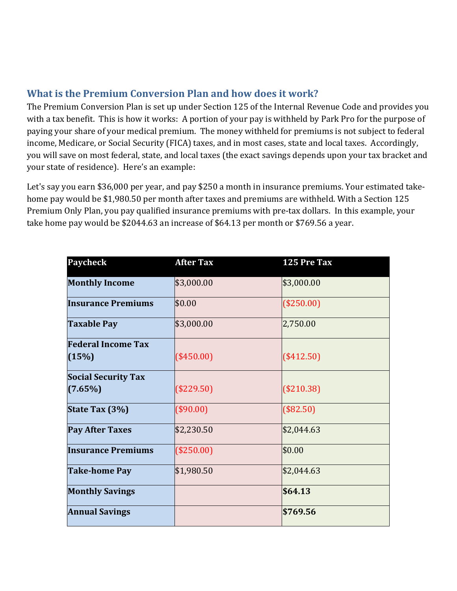## **What is the Premium Conversion Plan and how does it work?**

The Premium Conversion Plan is set up under Section 125 of the Internal Revenue Code and provides you with a tax benefit. This is how it works: A portion of your pay is withheld by Park Pro for the purpose of paying your share of your medical premium. The money withheld for premiums is not subject to federal income, Medicare, or Social Security (FICA) taxes, and in most cases, state and local taxes. Accordingly, you will save on most federal, state, and local taxes (the exact savings depends upon your tax bracket and your state of residence). Here's an example:

Let's say you earn \$36,000 per year, and pay \$250 a month in insurance premiums. Your estimated takehome pay would be \$1,980.50 per month after taxes and premiums are withheld. With a Section 125 Premium Only Plan, you pay qualified insurance premiums with pre-tax dollars. In this example, your take home pay would be \$2044.63 an increase of \$64.13 per month or \$769.56 a year.

| <b>Paycheck</b>                       | <b>After Tax</b> | 125 Pre Tax |
|---------------------------------------|------------------|-------------|
| <b>Monthly Income</b>                 | \$3,000.00       | \$3,000.00  |
| <b>Insurance Premiums</b>             | \$0.00           | (\$250.00)  |
| <b>Taxable Pay</b>                    | \$3,000.00       | 2,750.00    |
| <b>Federal Income Tax</b><br>(15%)    | $(*450.00)$      | (\$412.50)  |
| <b>Social Security Tax</b><br>(7.65%) | $(\$229.50)$     | (\$210.38)  |
| State Tax (3%)                        | (\$90.00)        | (\$82.50)   |
| <b>Pay After Taxes</b>                | \$2,230.50       | \$2,044.63  |
| <b>Insurance Premiums</b>             | (\$250.00)       | \$0.00      |
| <b>Take-home Pay</b>                  | \$1,980.50       | \$2,044.63  |
| <b>Monthly Savings</b>                |                  | \$64.13     |
| <b>Annual Savings</b>                 |                  | \$769.56    |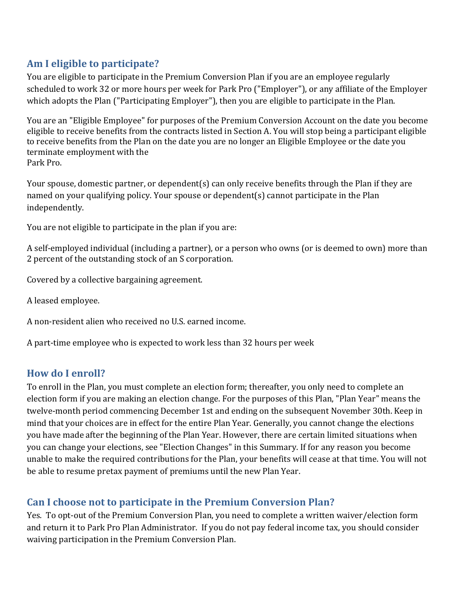## **Am I eligible to participate?**

You are eligible to participate in the Premium Conversion Plan if you are an employee regularly scheduled to work 32 or more hours per week for Park Pro ("Employer"), or any affiliate of the Employer which adopts the Plan ("Participating Employer"), then you are eligible to participate in the Plan.

You are an "Eligible Employee" for purposes of the Premium Conversion Account on the date you become eligible to receive benefits from the contracts listed in Section A. You will stop being a participant eligible to receive benefits from the Plan on the date you are no longer an Eligible Employee or the date you terminate employment with the Park Pro. 

Your spouse, domestic partner, or dependent(s) can only receive benefits through the Plan if they are named on your qualifying policy. Your spouse or dependent(s) cannot participate in the Plan independently. 

You are not eligible to participate in the plan if you are:

A self-employed individual (including a partner), or a person who owns (or is deemed to own) more than 2 percent of the outstanding stock of an S corporation.

Covered by a collective bargaining agreement.

A leased employee. 

A non-resident alien who received no U.S. earned income.

A part-time employee who is expected to work less than 32 hours per week

#### **How do I enroll?**

To enroll in the Plan, you must complete an election form; thereafter, you only need to complete an election form if you are making an election change. For the purposes of this Plan, "Plan Year" means the twelve-month period commencing December 1st and ending on the subsequent November 30th. Keep in mind that your choices are in effect for the entire Plan Year. Generally, you cannot change the elections you have made after the beginning of the Plan Year. However, there are certain limited situations when you can change your elections, see "Election Changes" in this Summary. If for any reason you become unable to make the required contributions for the Plan, your benefits will cease at that time. You will not be able to resume pretax payment of premiums until the new Plan Year.

## **Can I choose not to participate in the Premium Conversion Plan?**

Yes. To opt-out of the Premium Conversion Plan, you need to complete a written waiver/election form and return it to Park Pro Plan Administrator. If you do not pay federal income tax, you should consider waiving participation in the Premium Conversion Plan.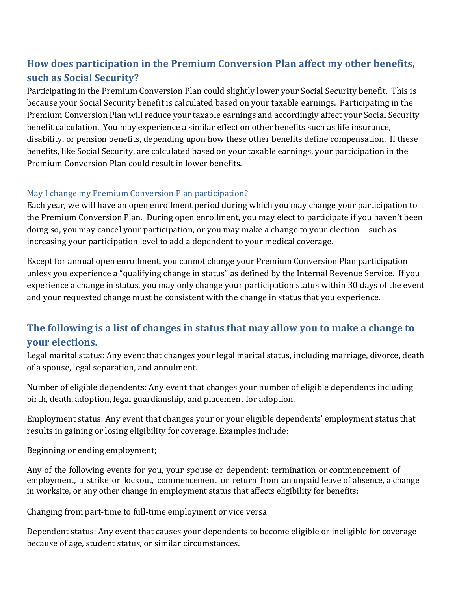# **How does participation in the Premium Conversion Plan affect my other benefits, such as Social Security?**

Participating in the Premium Conversion Plan could slightly lower your Social Security benefit. This is because your Social Security benefit is calculated based on your taxable earnings. Participating in the Premium Conversion Plan will reduce your taxable earnings and accordingly affect your Social Security benefit calculation. You may experience a similar effect on other benefits such as life insurance, disability, or pension benefits, depending upon how these other benefits define compensation. If these benefits, like Social Security, are calculated based on your taxable earnings, your participation in the Premium Conversion Plan could result in lower benefits.

#### May I change my Premium Conversion Plan participation?

Each year, we will have an open enrollment period during which you may change your participation to the Premium Conversion Plan. During open enrollment, you may elect to participate if you haven't been doing so, you may cancel your participation, or you may make a change to your election—such as increasing your participation level to add a dependent to your medical coverage.

Except for annual open enrollment, you cannot change your Premium Conversion Plan participation unless you experience a "qualifying change in status" as defined by the Internal Revenue Service. If you experience a change in status, you may only change your participation status within 30 days of the event and your requested change must be consistent with the change in status that you experience.

## **The following is a list of changes in status that may allow you to make a change to your elections.**

Legal marital status: Any event that changes your legal marital status, including marriage, divorce, death of a spouse, legal separation, and annulment.

Number of eligible dependents: Any event that changes your number of eligible dependents including birth, death, adoption, legal guardianship, and placement for adoption.

Employment status: Any event that changes your or your eligible dependents' employment status that results in gaining or losing eligibility for coverage. Examples include:

Beginning or ending employment;

Any of the following events for you, your spouse or dependent: termination or commencement of employment, a strike or lockout, commencement or return from an unpaid leave of absence, a change in worksite, or any other change in employment status that affects eligibility for benefits;

Changing from part-time to full-time employment or vice versa

Dependent status: Any event that causes your dependents to become eligible or ineligible for coverage because of age, student status, or similar circumstances.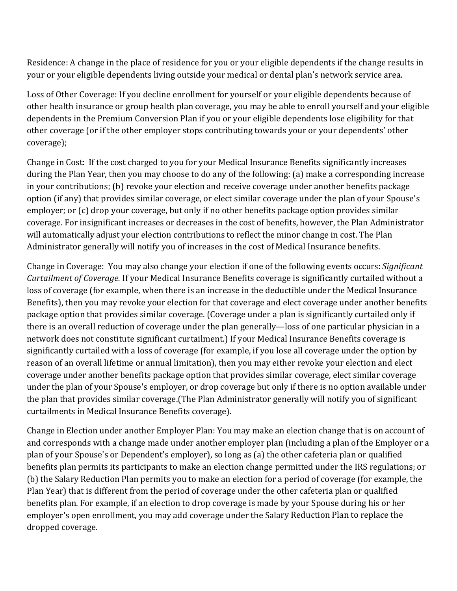Residence: A change in the place of residence for you or your eligible dependents if the change results in your or your eligible dependents living outside your medical or dental plan's network service area.

Loss of Other Coverage: If you decline enrollment for yourself or your eligible dependents because of other health insurance or group health plan coverage, you may be able to enroll yourself and your eligible dependents in the Premium Conversion Plan if you or your eligible dependents lose eligibility for that other coverage (or if the other employer stops contributing towards your or your dependents' other coverage); 

Change in Cost: If the cost charged to you for your Medical Insurance Benefits significantly increases during the Plan Year, then you may choose to do any of the following: (a) make a corresponding increase in your contributions; (b) revoke your election and receive coverage under another benefits package option (if any) that provides similar coverage, or elect similar coverage under the plan of your Spouse's employer; or  $(c)$  drop your coverage, but only if no other benefits package option provides similar coverage. For insignificant increases or decreases in the cost of benefits, however, the Plan Administrator will automatically adjust your election contributions to reflect the minor change in cost. The Plan Administrator generally will notify you of increases in the cost of Medical Insurance benefits.

Change in Coverage: You may also change your election if one of the following events occurs: *Significant Curtailment of Coverage.* If your Medical Insurance Benefits coverage is significantly curtailed without a loss of coverage (for example, when there is an increase in the deductible under the Medical Insurance Benefits), then you may revoke your election for that coverage and elect coverage under another benefits package option that provides similar coverage. (Coverage under a plan is significantly curtailed only if there is an overall reduction of coverage under the plan generally—loss of one particular physician in a network does not constitute significant curtailment.) If your Medical Insurance Benefits coverage is significantly curtailed with a loss of coverage (for example, if you lose all coverage under the option by reason of an overall lifetime or annual limitation), then you may either revoke your election and elect coverage under another benefits package option that provides similar coverage, elect similar coverage under the plan of your Spouse's employer, or drop coverage but only if there is no option available under the plan that provides similar coverage.(The Plan Administrator generally will notify you of significant curtailments in Medical Insurance Benefits coverage).

Change in Election under another Employer Plan: You may make an election change that is on account of and corresponds with a change made under another employer plan (including a plan of the Employer or a plan of your Spouse's or Dependent's employer), so long as (a) the other cafeteria plan or qualified benefits plan permits its participants to make an election change permitted under the IRS regulations; or (b) the Salary Reduction Plan permits you to make an election for a period of coverage (for example, the Plan Year) that is different from the period of coverage under the other cafeteria plan or qualified benefits plan. For example, if an election to drop coverage is made by your Spouse during his or her employer's open enrollment, you may add coverage under the Salary Reduction Plan to replace the dropped coverage.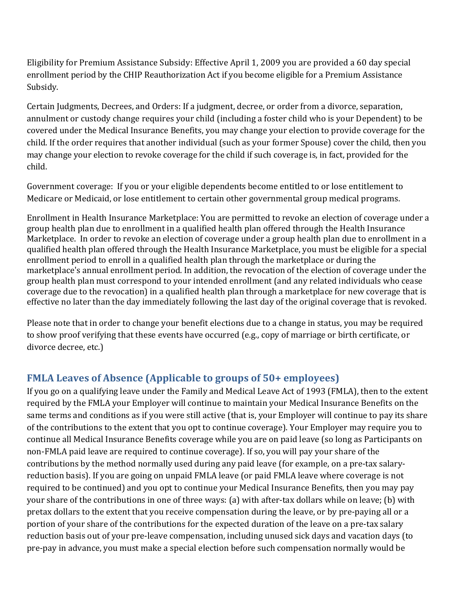Eligibility for Premium Assistance Subsidy: Effective April 1, 2009 you are provided a 60 day special enrollment period by the CHIP Reauthorization Act if you become eligible for a Premium Assistance Subsidy. 

Certain Judgments, Decrees, and Orders: If a judgment, decree, or order from a divorce, separation, annulment or custody change requires your child (including a foster child who is your Dependent) to be covered under the Medical Insurance Benefits, you may change your election to provide coverage for the child. If the order requires that another individual (such as your former Spouse) cover the child, then you may change your election to revoke coverage for the child if such coverage is, in fact, provided for the child. 

Government coverage: If you or your eligible dependents become entitled to or lose entitlement to Medicare or Medicaid, or lose entitlement to certain other governmental group medical programs.

Enrollment in Health Insurance Marketplace: You are permitted to revoke an election of coverage under a group health plan due to enrollment in a qualified health plan offered through the Health Insurance Marketplace. In order to revoke an election of coverage under a group health plan due to enrollment in a qualified health plan offered through the Health Insurance Marketplace, you must be eligible for a special enrollment period to enroll in a qualified health plan through the marketplace or during the marketplace's annual enrollment period. In addition, the revocation of the election of coverage under the group health plan must correspond to your intended enrollment (and any related individuals who cease coverage due to the revocation) in a qualified health plan through a marketplace for new coverage that is effective no later than the day immediately following the last day of the original coverage that is revoked.

Please note that in order to change your benefit elections due to a change in status, you may be required to show proof verifying that these events have occurred (e.g., copy of marriage or birth certificate, or divorce decree, etc.)

## **FMLA Leaves of Absence (Applicable to groups of 50+ employees)**

If you go on a qualifying leave under the Family and Medical Leave Act of 1993 (FMLA), then to the extent required by the FMLA your Employer will continue to maintain your Medical Insurance Benefits on the same terms and conditions as if you were still active (that is, your Employer will continue to pay its share of the contributions to the extent that you opt to continue coverage). Your Employer may require you to continue all Medical Insurance Benefits coverage while you are on paid leave (so long as Participants on non-FMLA paid leave are required to continue coverage). If so, you will pay your share of the contributions by the method normally used during any paid leave (for example, on a pre-tax salaryreduction basis). If you are going on unpaid FMLA leave (or paid FMLA leave where coverage is not required to be continued) and you opt to continue your Medical Insurance Benefits, then you may pay your share of the contributions in one of three ways: (a) with after-tax dollars while on leave; (b) with pretax dollars to the extent that you receive compensation during the leave, or by pre-paying all or a portion of your share of the contributions for the expected duration of the leave on a pre-tax salary reduction basis out of your pre-leave compensation, including unused sick days and vacation days (to pre-pay in advance, you must make a special election before such compensation normally would be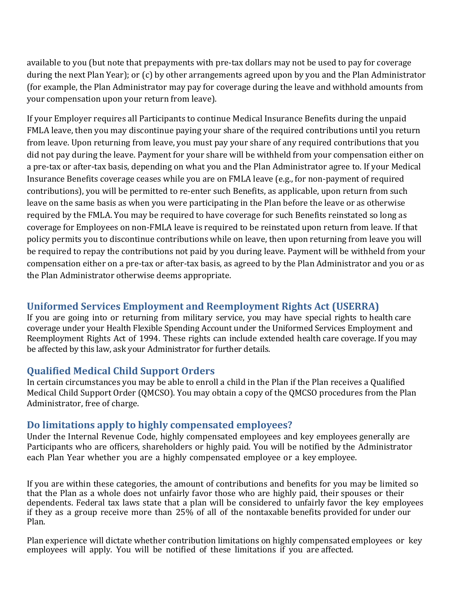available to you (but note that prepayments with pre-tax dollars may not be used to pay for coverage during the next Plan Year); or (c) by other arrangements agreed upon by you and the Plan Administrator (for example, the Plan Administrator may pay for coverage during the leave and withhold amounts from your compensation upon your return from leave).

If your Employer requires all Participants to continue Medical Insurance Benefits during the unpaid FMLA leave, then you may discontinue paying your share of the required contributions until you return from leave. Upon returning from leave, you must pay your share of any required contributions that you did not pay during the leave. Payment for your share will be withheld from your compensation either on a pre-tax or after-tax basis, depending on what you and the Plan Administrator agree to. If your Medical Insurance Benefits coverage ceases while you are on FMLA leave (e.g., for non-payment of required contributions), you will be permitted to re-enter such Benefits, as applicable, upon return from such leave on the same basis as when you were participating in the Plan before the leave or as otherwise required by the FMLA. You may be required to have coverage for such Benefits reinstated so long as coverage for Employees on non-FMLA leave is required to be reinstated upon return from leave. If that policy permits you to discontinue contributions while on leave, then upon returning from leave you will be required to repay the contributions not paid by you during leave. Payment will be withheld from your compensation either on a pre-tax or after-tax basis, as agreed to by the Plan Administrator and you or as the Plan Administrator otherwise deems appropriate.

#### **Uniformed Services Employment and Reemployment Rights Act (USERRA)**

If you are going into or returning from military service, you may have special rights to health care coverage under your Health Flexible Spending Account under the Uniformed Services Employment and Reemployment Rights Act of 1994. These rights can include extended health care coverage. If you may be affected by this law, ask your Administrator for further details.

#### **Qualified Medical Child Support Orders**

In certain circumstances you may be able to enroll a child in the Plan if the Plan receives a Qualified Medical Child Support Order (QMCSO). You may obtain a copy of the QMCSO procedures from the Plan Administrator, free of charge.

#### **Do limitations apply to highly compensated employees?**

Under the Internal Revenue Code, highly compensated employees and key employees generally are Participants who are officers, shareholders or highly paid. You will be notified by the Administrator each Plan Year whether you are a highly compensated employee or a key employee.

If you are within these categories, the amount of contributions and benefits for you may be limited so that the Plan as a whole does not unfairly favor those who are highly paid, their spouses or their dependents. Federal tax laws state that a plan will be considered to unfairly favor the key employees if they as a group receive more than  $25\%$  of all of the nontaxable benefits provided for under our Plan. 

Plan experience will dictate whether contribution limitations on highly compensated employees or key employees will apply. You will be notified of these limitations if you are affected.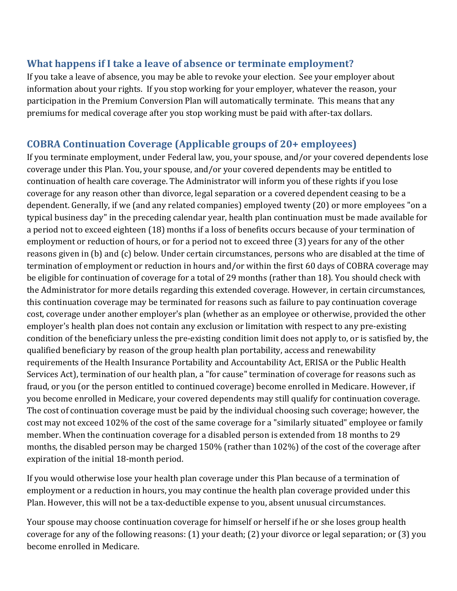#### **What happens if I take a leave of absence or terminate employment?**

If you take a leave of absence, you may be able to revoke your election. See your employer about information about your rights. If you stop working for your employer, whatever the reason, your participation in the Premium Conversion Plan will automatically terminate. This means that any premiums for medical coverage after you stop working must be paid with after-tax dollars.

### **COBRA Continuation Coverage (Applicable groups of 20+ employees)**

If you terminate employment, under Federal law, you, your spouse, and/or your covered dependents lose coverage under this Plan. You, your spouse, and/or your covered dependents may be entitled to continuation of health care coverage. The Administrator will inform you of these rights if you lose coverage for any reason other than divorce, legal separation or a covered dependent ceasing to be a dependent. Generally, if we (and any related companies) employed twenty (20) or more employees "on a typical business day" in the preceding calendar year, health plan continuation must be made available for a period not to exceed eighteen (18) months if a loss of benefits occurs because of your termination of employment or reduction of hours, or for a period not to exceed three (3) years for any of the other reasons given in (b) and (c) below. Under certain circumstances, persons who are disabled at the time of termination of employment or reduction in hours and/or within the first 60 days of COBRA coverage may be eligible for continuation of coverage for a total of 29 months (rather than 18). You should check with the Administrator for more details regarding this extended coverage. However, in certain circumstances, this continuation coverage may be terminated for reasons such as failure to pay continuation coverage cost, coverage under another employer's plan (whether as an employee or otherwise, provided the other employer's health plan does not contain any exclusion or limitation with respect to any pre-existing condition of the beneficiary unless the pre-existing condition limit does not apply to, or is satisfied by, the qualified beneficiary by reason of the group health plan portability, access and renewability requirements of the Health Insurance Portability and Accountability Act, ERISA or the Public Health Services Act), termination of our health plan, a "for cause" termination of coverage for reasons such as fraud, or you (or the person entitled to continued coverage) become enrolled in Medicare. However, if you become enrolled in Medicare, your covered dependents may still qualify for continuation coverage. The cost of continuation coverage must be paid by the individual choosing such coverage; however, the cost may not exceed 102% of the cost of the same coverage for a "similarly situated" employee or family member. When the continuation coverage for a disabled person is extended from 18 months to 29 months, the disabled person may be charged 150% (rather than 102%) of the cost of the coverage after expiration of the initial 18-month period.

If you would otherwise lose your health plan coverage under this Plan because of a termination of employment or a reduction in hours, you may continue the health plan coverage provided under this Plan. However, this will not be a tax-deductible expense to you, absent unusual circumstances.

Your spouse may choose continuation coverage for himself or herself if he or she loses group health coverage for any of the following reasons:  $(1)$  your death;  $(2)$  your divorce or legal separation; or  $(3)$  you become enrolled in Medicare.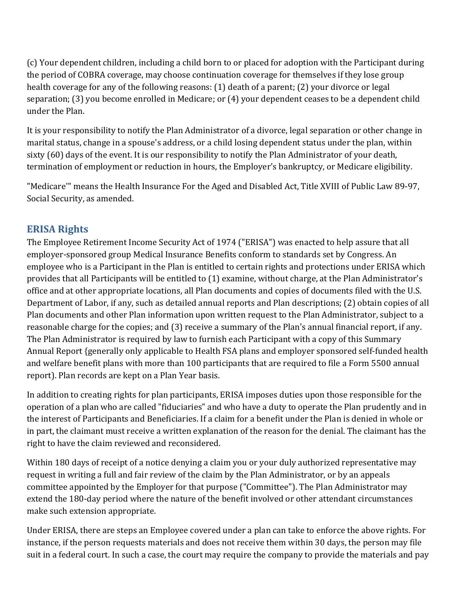(c) Your dependent children, including a child born to or placed for adoption with the Participant during the period of COBRA coverage, may choose continuation coverage for themselves if they lose group health coverage for any of the following reasons:  $(1)$  death of a parent;  $(2)$  your divorce or legal separation; (3) you become enrolled in Medicare; or (4) your dependent ceases to be a dependent child under the Plan.

It is your responsibility to notify the Plan Administrator of a divorce, legal separation or other change in marital status, change in a spouse's address, or a child losing dependent status under the plan, within sixty (60) days of the event. It is our responsibility to notify the Plan Administrator of your death, termination of employment or reduction in hours, the Employer's bankruptcy, or Medicare eligibility.

"Medicare" means the Health Insurance For the Aged and Disabled Act, Title XVIII of Public Law 89-97, Social Security, as amended.

### **ERISA Rights**

The Employee Retirement Income Security Act of 1974 ("ERISA") was enacted to help assure that all employer-sponsored group Medical Insurance Benefits conform to standards set by Congress. An employee who is a Participant in the Plan is entitled to certain rights and protections under ERISA which provides that all Participants will be entitled to (1) examine, without charge, at the Plan Administrator's office and at other appropriate locations, all Plan documents and copies of documents filed with the U.S. Department of Labor, if any, such as detailed annual reports and Plan descriptions; (2) obtain copies of all Plan documents and other Plan information upon written request to the Plan Administrator, subject to a reasonable charge for the copies; and (3) receive a summary of the Plan's annual financial report, if any. The Plan Administrator is required by law to furnish each Participant with a copy of this Summary Annual Report {generally only applicable to Health FSA plans and employer sponsored self-funded health and welfare benefit plans with more than 100 participants that are required to file a Form 5500 annual report). Plan records are kept on a Plan Year basis.

In addition to creating rights for plan participants, ERISA imposes duties upon those responsible for the operation of a plan who are called "fiduciaries" and who have a duty to operate the Plan prudently and in the interest of Participants and Beneficiaries. If a claim for a benefit under the Plan is denied in whole or in part, the claimant must receive a written explanation of the reason for the denial. The claimant has the right to have the claim reviewed and reconsidered.

Within 180 days of receipt of a notice denying a claim you or your duly authorized representative may request in writing a full and fair review of the claim by the Plan Administrator, or by an appeals committee appointed by the Employer for that purpose ("Committee"). The Plan Administrator may extend the 180-day period where the nature of the benefit involved or other attendant circumstances make such extension appropriate.

Under ERISA, there are steps an Employee covered under a plan can take to enforce the above rights. For instance, if the person requests materials and does not receive them within 30 days, the person may file suit in a federal court. In such a case, the court may require the company to provide the materials and pay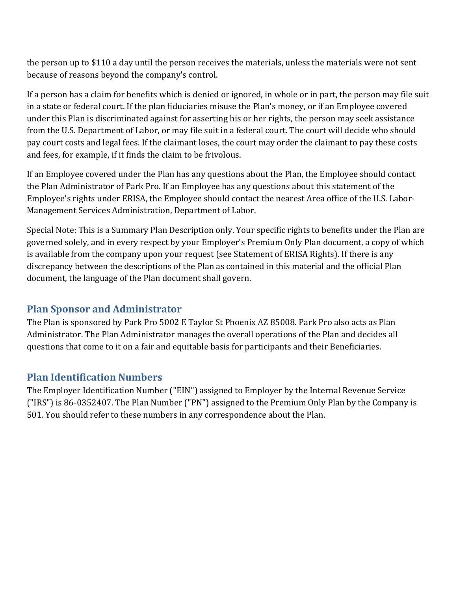the person up to \$110 a day until the person receives the materials, unless the materials were not sent because of reasons beyond the company's control.

If a person has a claim for benefits which is denied or ignored, in whole or in part, the person may file suit in a state or federal court. If the plan fiduciaries misuse the Plan's money, or if an Employee covered under this Plan is discriminated against for asserting his or her rights, the person may seek assistance from the U.S. Department of Labor, or may file suit in a federal court. The court will decide who should pay court costs and legal fees. If the claimant loses, the court may order the claimant to pay these costs and fees, for example, if it finds the claim to be frivolous.

If an Employee covered under the Plan has any questions about the Plan, the Employee should contact the Plan Administrator of Park Pro. If an Employee has any questions about this statement of the Employee's rights under ERISA, the Employee should contact the nearest Area office of the U.S. Labor-Management Services Administration, Department of Labor.

Special Note: This is a Summary Plan Description only. Your specific rights to benefits under the Plan are governed solely, and in every respect by your Employer's Premium Only Plan document, a copy of which is available from the company upon your request (see Statement of ERISA Rights). If there is any discrepancy between the descriptions of the Plan as contained in this material and the official Plan document, the language of the Plan document shall govern.

### **Plan Sponsor and Administrator**

The Plan is sponsored by Park Pro 5002 E Taylor St Phoenix AZ 85008. Park Pro also acts as Plan Administrator. The Plan Administrator manages the overall operations of the Plan and decides all questions that come to it on a fair and equitable basis for participants and their Beneficiaries.

### **Plan Identification Numbers**

The Employer Identification Number ("EIN") assigned to Employer by the Internal Revenue Service  $(''IRS'')$  is 86-0352407. The Plan Number  $(''PN'')$  assigned to the Premium Only Plan by the Company is 501. You should refer to these numbers in any correspondence about the Plan.